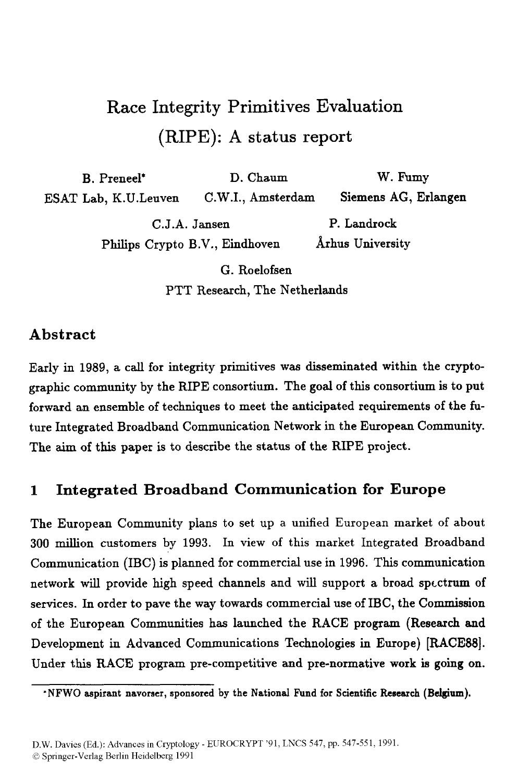# Race Integrity Primitives Evaluation (RIPE): **A** status **report**

B. Preneel\* D. Chaum W. Fumy ESAT Lab, K.U.Leuven C.W.I., Amsterdam Siemens **AG,** Erlangen C.J.A. Jansen P. Landrock Philips Crypto B.V., Eindhoven Arhus University

> G. Roelofsen PTT Research, The Netherlands

## **Abstract**

Early in 1989, a call for integrity primitives was disseminated within the cryptographic community by the RIPE consortium. The **goal** of this consortium is to put forward an ensemble of techniques to meet the anticipated requirements of the future Integrated Broadband Communication Network in the European Community. The aim of this paper is to describe the status of the RIPE project.

## **1 Integrated Broadband Communication for Europe**

The European Community plans to set up a unified European market of about 300 million customers by 1993. In view of this market Integrated Broadband Communication (IBC) is planned for commercial use in 1996. This communication network will provide high speed channels and will support a broad spectrum of services. In order to pave the way towards commercial use of IBC, the Commission of the European Communities has launched the RACE program (Research and Development in Advanced Communications Technologies in Europe) **[RACE88].**  Under this RACE program pre-competitive and pre-normative work **is** going on.

<sup>\*</sup>NFWO aspirant navorser, sponsored by the National Fund for Scientific Research (Belgium).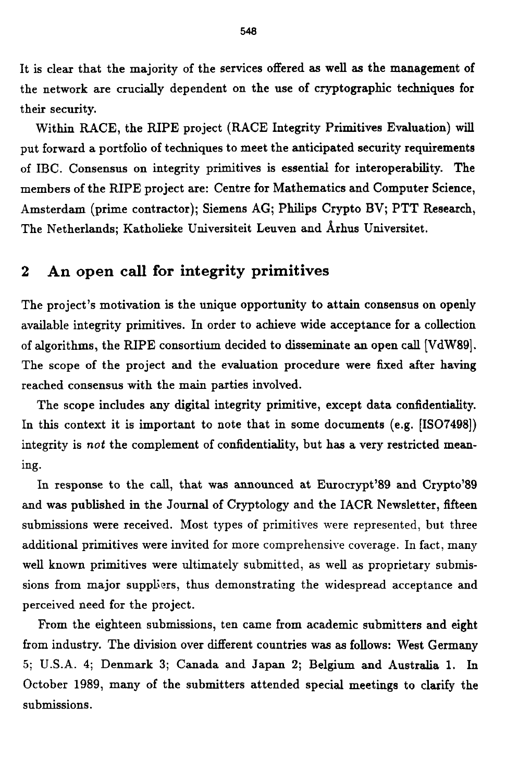It is clear that the majority of the services offered **as** well **as** the management of the network are crucially dependent on the use of cryptographic techniques for their security.

Within RACE, the RIPE project (RACE Integrity Primitives Evaluation) will put forward a portfolio of techniques to meet the anticipated security requirements of IBC. Consensus on integrity primitives is essential for interoperability. The members of the RIPE project are: Centre for Mathematics and Computer Science, Amsterdam (prime contractor); Siemens AG; Philips Crypto BV; PTT Research, The Netherlands; Katholieke Universiteit Leuven and Arhus Universitet.

# **2 An open call for integrity primitives**

The project's motivation is the unique opportunity to attain consensus on openly available integrity primitives. In order to achieve wide acceptance for **a** collection of algorithms, the RIPE consortium decided to disseminate an open call [VdW89]. The scope of the project and the evaluation procedure were fixed after having reached consensus with the main parties involved.

The scope includes any digital integrity primitive, except data confidentiality. In this context it is important to note that in some documents (e.g. [ISO7498]) integrity is not the complement of confidentiality, but has a very restricted meaning.

In response to the call, that **was** announced at Eurocrypt'89 and Crypto'89 and **was** published in the Journal of Cryptology and the IACR Newsletter, fifteen submissions were received. Most types of primitives were represented, but three additional primitives were invited for more comprehensive coverage. In fact, many well known primitives were ultimately submitted, as well as proprietary submissions from major suppliers, thus demonstrating the widespread acceptance and perceived need for the project.

From the eighteen submissions, ten came from academic submitters and eight from industry. The division over different countries was **as** follows: West Germagy *5;* U.S.A. **4;** Denmark 3; Canada and Japan **2;** Belgium and Australia 1. In October 1989, many of the submitters attended special meetings to clarify the submissions.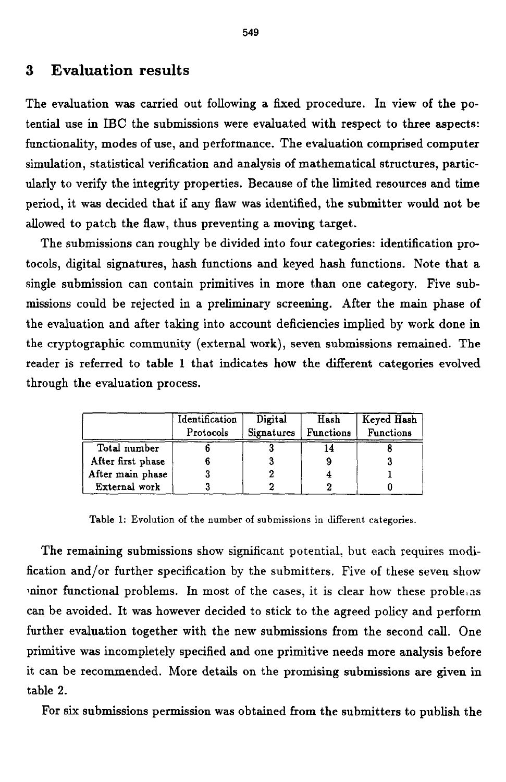# **3 Evaluation results**

The evaluation was carried out following a fixed procedure. In view of the potential use in **IBC** the submissions were evaluated with respect to three aspects: functionality, modes of use, and performance. The evaluation comprised computer simulation, statistical verification and analysis of mathematical structures, particularly to verify the integrity properties. Because of the limited resources and time period, it was decided that if any flaw was identified, the submitter would not be allowed to patch the flaw, thus preventing a moving target.

The submissions can roughly be divided into four categories: identification protocols, digital signatures, hash functions and keyed hash functions. Note that a single submission can contain primitives in more than one category. Five submissions could be rejected in a preliminary screening. After the main phase of the evaluation and after taking into account deficiencies implied by work done in the cryptographic community (external work), seven submissions remained. **The**  reader is referred to table 1 that indicates how the different categories evolved through the evaluation process.

|                   | Identification<br>Protocols | Digital<br>Signatures | Hash<br><b>Functions</b> | Keyed Hash<br><b>Functions</b> |
|-------------------|-----------------------------|-----------------------|--------------------------|--------------------------------|
| Total number      |                             |                       | 14                       |                                |
| After first phase |                             |                       |                          |                                |
| After main phase  |                             |                       |                          |                                |
| External work     |                             |                       |                          |                                |

**Table 1: Evolution of the number of submissions in different categories.** 

The remaining submissions show significant potential, but each requires modification and/or further specification by the submitters. Five of these seven show *ininor functional problems. In most of the cases, it is clear how these problems* can be avoided. It was however decided to stick to the agreed policy and perform further evaluation together with the new submissions from the second call. One primitive was incompletely specified and one primitive needs more analysis before it can be recommended. More details on the promising submissions are given in table **2.** 

For *six* submissions permission was obtained from the submitters to publish the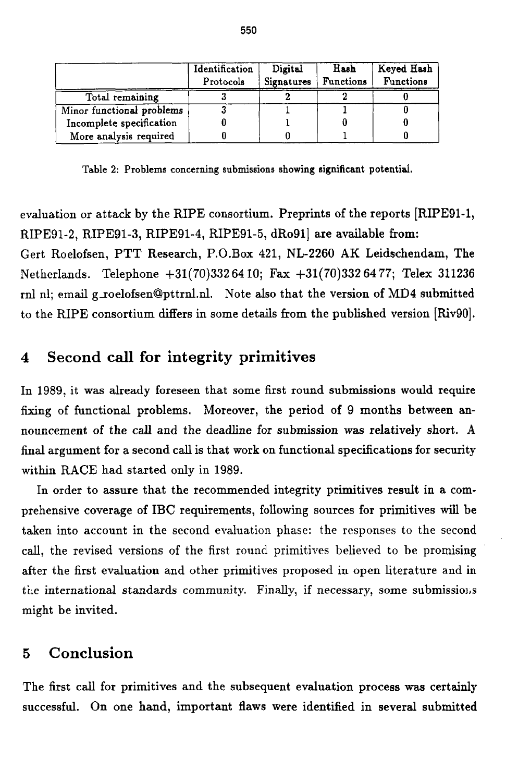|                           | Identification | Digital    | Hash             | Keyed Hash       |
|---------------------------|----------------|------------|------------------|------------------|
|                           | Protocols      | Signatures | <b>Functions</b> | <b>Functions</b> |
| Total remaining           |                |            |                  |                  |
| Minor functional problems |                |            |                  |                  |
| Incomplete specification  |                |            |                  |                  |
| More analysis required    |                |            |                  |                  |

**Table 2: Problems concerning submissions showing significant potential.** 

evaluation or attack by the RIPE consortium. Preprints of the reports [RIPESl-1, RIPE91-2, RIPE91-3, RIPE91-4, RIPE91-5, dRo911 are available from:

Gert Roelofsen, PTT Research, P.O.Box 421, NL-2260 **AK** Leidschendam, The Netherlands. Telephone +31(70)332 64 10; **Fax** +31(70)332 **64 77;** Telex 311236 **rnl nl;** email groelofsen@pttrnl.nl. Note also that the version of **MD4** submitted to the RIPE consortium differs in some details from the published version [Riv90].

# **4 Second call for integrity primitives**

In 1989, it was already foreseen that some first round submissions would **require**  fixing of functional problems. Moreover, the period **of** 9 months between announcement of the call and the deadline for submission was relatively short. **A**  final argument for a second call is that work on functional specifications for security within RACE had started **only** in 1989.

In order to assure that the recommended integrity primitives result in a comprehensive coverage of IBC requirements, following sources for primitives **will** be taken into account in the second evaluation phase: the responses to the second call, the revised versions of the first round primitives believed to be promising after the first evaluation and other primitives proposed in open literature and in the international standards community. Finally, if necessary, some submissions might be invited.

### *5* **Conclusion**

The first call for primitives and the subsequent evaluation process was certainly successful. On one hand, important flaws were identified in several submitted